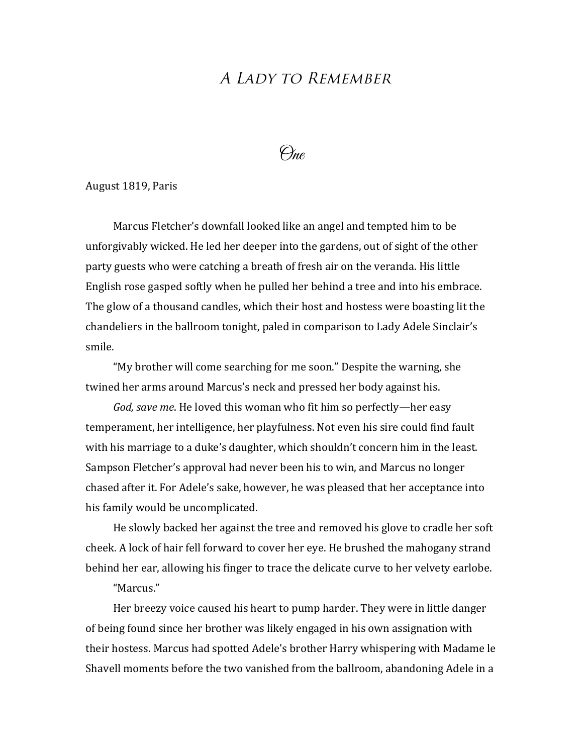## A LADY TO REMEMBER

One

## August 1819, Paris

Marcus Fletcher's downfall looked like an angel and tempted him to be unforgivably wicked. He led her deeper into the gardens, out of sight of the other party guests who were catching a breath of fresh air on the veranda. His little English rose gasped softly when he pulled her behind a tree and into his embrace. The glow of a thousand candles, which their host and hostess were boasting lit the chandeliers in the ballroom tonight, paled in comparison to Lady Adele Sinclair's smile.

"My brother will come searching for me soon." Despite the warning, she twined her arms around Marcus's neck and pressed her body against his.

*God, save me*. He loved this woman who fit him so perfectly—her easy temperament, her intelligence, her playfulness. Not even his sire could find fault with his marriage to a duke's daughter, which shouldn't concern him in the least. Sampson Fletcher's approval had never been his to win, and Marcus no longer chased after it. For Adele's sake, however, he was pleased that her acceptance into his family would be uncomplicated.

He slowly backed her against the tree and removed his glove to cradle her soft cheek. A lock of hair fell forward to cover her eye. He brushed the mahogany strand behind her ear, allowing his finger to trace the delicate curve to her velvety earlobe.

## "Marcus."

Her breezy voice caused his heart to pump harder. They were in little danger of being found since her brother was likely engaged in his own assignation with their hostess. Marcus had spotted Adele's brother Harry whispering with Madame le Shavell moments before the two vanished from the ballroom, abandoning Adele in a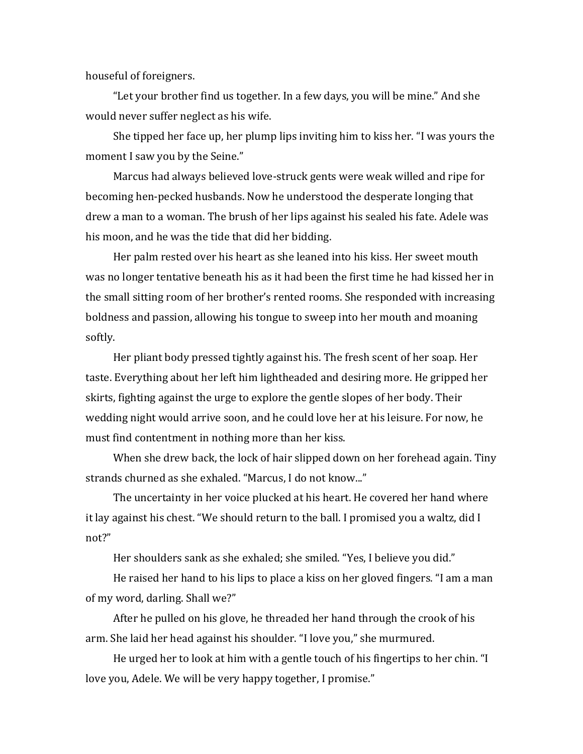houseful of foreigners.

"Let your brother find us together. In a few days, you will be mine." And she would never suffer neglect as his wife.

She tipped her face up, her plump lips inviting him to kiss her. "I was yours the moment I saw you by the Seine."

Marcus had always believed love-struck gents were weak willed and ripe for becoming hen-pecked husbands. Now he understood the desperate longing that drew a man to a woman. The brush of her lips against his sealed his fate. Adele was his moon, and he was the tide that did her bidding.

Her palm rested over his heart as she leaned into his kiss. Her sweet mouth was no longer tentative beneath his as it had been the first time he had kissed her in the small sitting room of her brother's rented rooms. She responded with increasing boldness and passion, allowing his tongue to sweep into her mouth and moaning softly. 

Her pliant body pressed tightly against his. The fresh scent of her soap. Her taste. Everything about her left him lightheaded and desiring more. He gripped her skirts, fighting against the urge to explore the gentle slopes of her body. Their wedding night would arrive soon, and he could love her at his leisure. For now, he must find contentment in nothing more than her kiss.

When she drew back, the lock of hair slipped down on her forehead again. Tiny strands churned as she exhaled. "Marcus, I do not know..."

The uncertainty in her voice plucked at his heart. He covered her hand where it lay against his chest. "We should return to the ball. I promised you a waltz, did I not?"

Her shoulders sank as she exhaled; she smiled. "Yes, I believe you did."

He raised her hand to his lips to place a kiss on her gloved fingers. "I am a man of my word, darling. Shall we?"

After he pulled on his glove, he threaded her hand through the crook of his arm. She laid her head against his shoulder. "I love you," she murmured.

He urged her to look at him with a gentle touch of his fingertips to her chin. "I love you, Adele. We will be very happy together, I promise."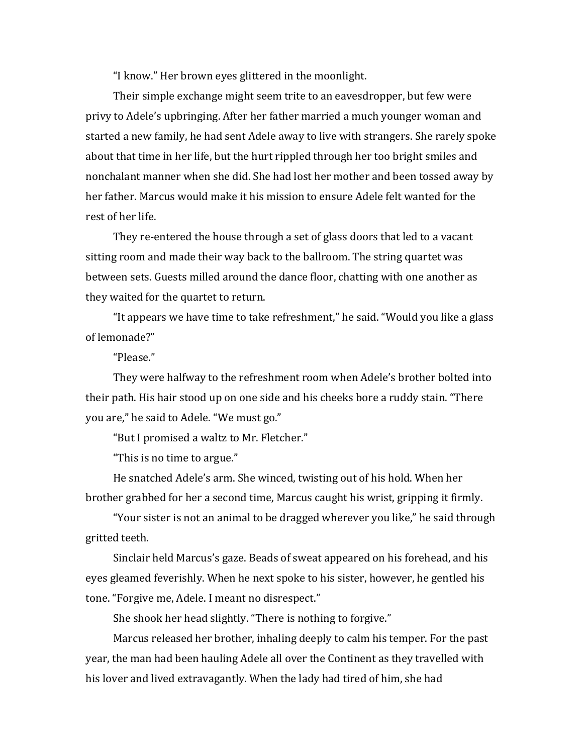"I know." Her brown eyes glittered in the moonlight.

Their simple exchange might seem trite to an eavesdropper, but few were privy to Adele's upbringing. After her father married a much younger woman and started a new family, he had sent Adele away to live with strangers. She rarely spoke about that time in her life, but the hurt rippled through her too bright smiles and nonchalant manner when she did. She had lost her mother and been tossed away by her father. Marcus would make it his mission to ensure Adele felt wanted for the rest of her life.

They re-entered the house through a set of glass doors that led to a vacant sitting room and made their way back to the ballroom. The string quartet was between sets. Guests milled around the dance floor, chatting with one another as they waited for the quartet to return.

"It appears we have time to take refreshment," he said. "Would you like a glass of lemonade?"

"Please." 

They were halfway to the refreshment room when Adele's brother bolted into their path. His hair stood up on one side and his cheeks bore a ruddy stain. "There you are," he said to Adele. "We must go."

"But I promised a waltz to Mr. Fletcher."

"This is no time to argue."

He snatched Adele's arm. She winced, twisting out of his hold. When her brother grabbed for her a second time, Marcus caught his wrist, gripping it firmly.

"Your sister is not an animal to be dragged wherever you like," he said through gritted teeth.

Sinclair held Marcus's gaze. Beads of sweat appeared on his forehead, and his eyes gleamed feverishly. When he next spoke to his sister, however, he gentled his tone. "Forgive me, Adele. I meant no disrespect."

She shook her head slightly. "There is nothing to forgive."

Marcus released her brother, inhaling deeply to calm his temper. For the past year, the man had been hauling Adele all over the Continent as they travelled with his lover and lived extravagantly. When the lady had tired of him, she had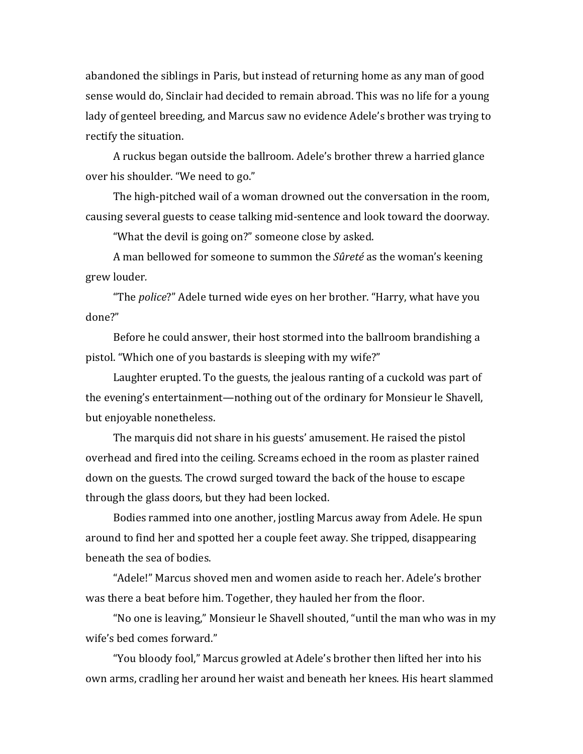abandoned the siblings in Paris, but instead of returning home as any man of good sense would do, Sinclair had decided to remain abroad. This was no life for a young lady of genteel breeding, and Marcus saw no evidence Adele's brother was trying to rectify the situation.

A ruckus began outside the ballroom. Adele's brother threw a harried glance over his shoulder. "We need to go."

The high-pitched wail of a woman drowned out the conversation in the room, causing several guests to cease talking mid-sentence and look toward the doorway.

"What the devil is going on?" someone close by asked.

A man bellowed for someone to summon the *Sûreté* as the woman's keening grew louder*.* 

"The *police*?" Adele turned wide eyes on her brother. "Harry, what have you done?" 

Before he could answer, their host stormed into the ballroom brandishing a pistol. "Which one of you bastards is sleeping with my wife?"

Laughter erupted. To the guests, the jealous ranting of a cuckold was part of the evening's entertainment—nothing out of the ordinary for Monsieur le Shavell, but enjoyable nonetheless.

The marquis did not share in his guests' amusement. He raised the pistol overhead and fired into the ceiling. Screams echoed in the room as plaster rained down on the guests. The crowd surged toward the back of the house to escape through the glass doors, but they had been locked.

Bodies rammed into one another, jostling Marcus away from Adele. He spun around to find her and spotted her a couple feet away. She tripped, disappearing beneath the sea of bodies. 

"Adele!" Marcus shoved men and women aside to reach her. Adele's brother was there a beat before him. Together, they hauled her from the floor.

"No one is leaving," Monsieur le Shavell shouted, "until the man who was in my wife's bed comes forward."

"You bloody fool," Marcus growled at Adele's brother then lifted her into his own arms, cradling her around her waist and beneath her knees. His heart slammed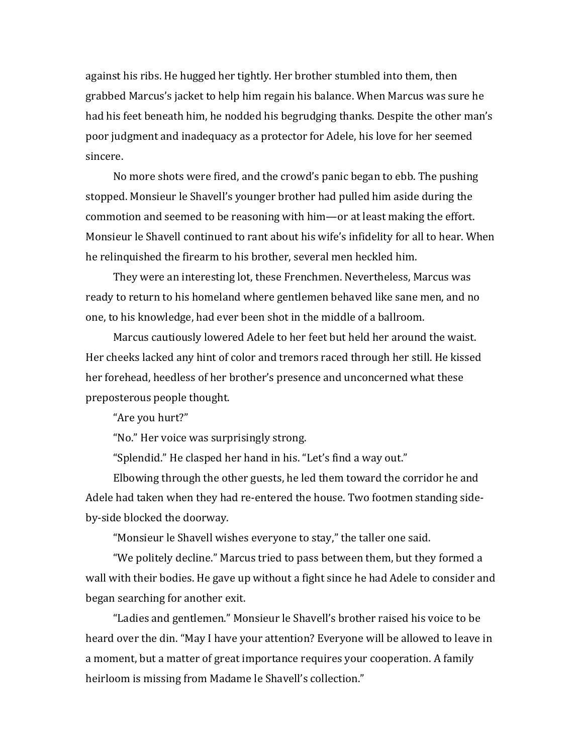against his ribs. He hugged her tightly. Her brother stumbled into them, then grabbed Marcus's jacket to help him regain his balance. When Marcus was sure he had his feet beneath him, he nodded his begrudging thanks. Despite the other man's poor judgment and inadequacy as a protector for Adele, his love for her seemed sincere. 

No more shots were fired, and the crowd's panic began to ebb. The pushing stopped. Monsieur le Shavell's younger brother had pulled him aside during the commotion and seemed to be reasoning with him—or at least making the effort. Monsieur le Shavell continued to rant about his wife's infidelity for all to hear. When he relinquished the firearm to his brother, several men heckled him.

They were an interesting lot, these Frenchmen. Nevertheless, Marcus was ready to return to his homeland where gentlemen behaved like sane men, and no one, to his knowledge, had ever been shot in the middle of a ballroom.

Marcus cautiously lowered Adele to her feet but held her around the waist. Her cheeks lacked any hint of color and tremors raced through her still. He kissed her forehead, heedless of her brother's presence and unconcerned what these preposterous people thought.

"Are you hurt?"

"No." Her voice was surprisingly strong.

"Splendid." He clasped her hand in his. "Let's find a way out."

Elbowing through the other guests, he led them toward the corridor he and Adele had taken when they had re-entered the house. Two footmen standing sideby-side blocked the doorway.

"Monsieur le Shavell wishes everyone to stay," the taller one said.

"We politely decline." Marcus tried to pass between them, but they formed a wall with their bodies. He gave up without a fight since he had Adele to consider and began searching for another exit.

"Ladies and gentlemen." Monsieur le Shavell's brother raised his voice to be heard over the din. "May I have your attention? Everyone will be allowed to leave in a moment, but a matter of great importance requires your cooperation. A family heirloom is missing from Madame le Shavell's collection."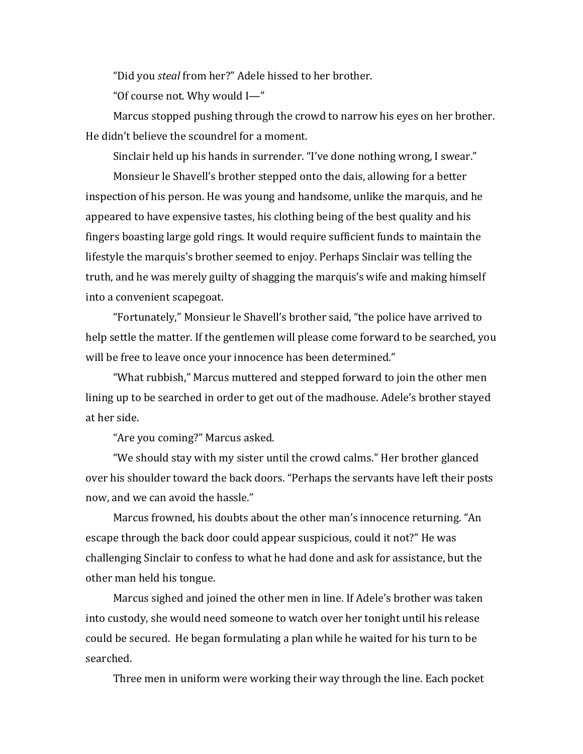"Did you *steal* from her?" Adele hissed to her brother.

"Of course not. Why would  $I$ —"

Marcus stopped pushing through the crowd to narrow his eyes on her brother. He didn't believe the scoundrel for a moment.

Sinclair held up his hands in surrender. "I've done nothing wrong, I swear."

Monsieur le Shavell's brother stepped onto the dais, allowing for a better inspection of his person. He was young and handsome, unlike the marquis, and he appeared to have expensive tastes, his clothing being of the best quality and his fingers boasting large gold rings. It would require sufficient funds to maintain the lifestyle the marquis's brother seemed to enjoy. Perhaps Sinclair was telling the truth, and he was merely guilty of shagging the marquis's wife and making himself into a convenient scapegoat.

"Fortunately," Monsieur le Shavell's brother said, "the police have arrived to help settle the matter. If the gentlemen will please come forward to be searched, you will be free to leave once your innocence has been determined."

"What rubbish," Marcus muttered and stepped forward to join the other men lining up to be searched in order to get out of the madhouse. Adele's brother stayed at her side.

"Are you coming?" Marcus asked.

"We should stay with my sister until the crowd calms." Her brother glanced over his shoulder toward the back doors. "Perhaps the servants have left their posts now, and we can avoid the hassle."

Marcus frowned, his doubts about the other man's innocence returning. "An escape through the back door could appear suspicious, could it not?" He was challenging Sinclair to confess to what he had done and ask for assistance, but the other man held his tongue.

Marcus sighed and joined the other men in line. If Adele's brother was taken into custody, she would need someone to watch over her tonight until his release could be secured. He began formulating a plan while he waited for his turn to be searched. 

Three men in uniform were working their way through the line. Each pocket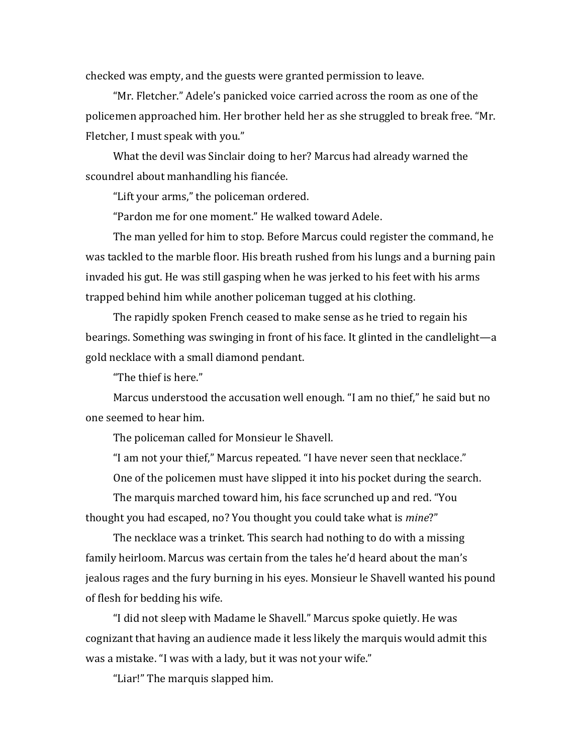checked was empty, and the guests were granted permission to leave.

"Mr. Fletcher." Adele's panicked voice carried across the room as one of the policemen approached him. Her brother held her as she struggled to break free. "Mr. Fletcher, I must speak with you."

What the devil was Sinclair doing to her? Marcus had already warned the scoundrel about manhandling his fiancée.

"Lift your arms," the policeman ordered.

"Pardon me for one moment." He walked toward Adele.

The man velled for him to stop. Before Marcus could register the command, he was tackled to the marble floor. His breath rushed from his lungs and a burning pain invaded his gut. He was still gasping when he was jerked to his feet with his arms trapped behind him while another policeman tugged at his clothing.

The rapidly spoken French ceased to make sense as he tried to regain his bearings. Something was swinging in front of his face. It glinted in the candlelight—a gold necklace with a small diamond pendant.

"The thief is here."

Marcus understood the accusation well enough. "I am no thief," he said but no one seemed to hear him. 

The policeman called for Monsieur le Shavell.

"I am not your thief," Marcus repeated. "I have never seen that necklace."

One of the policemen must have slipped it into his pocket during the search.

The marquis marched toward him, his face scrunched up and red. "You thought you had escaped, no? You thought you could take what is *mine?"* 

The necklace was a trinket. This search had nothing to do with a missing family heirloom. Marcus was certain from the tales he'd heard about the man's jealous rages and the fury burning in his eyes. Monsieur le Shavell wanted his pound of flesh for bedding his wife.

"I did not sleep with Madame le Shavell." Marcus spoke quietly. He was cognizant that having an audience made it less likely the marquis would admit this was a mistake. "I was with a lady, but it was not your wife."

"Liar!" The marquis slapped him.